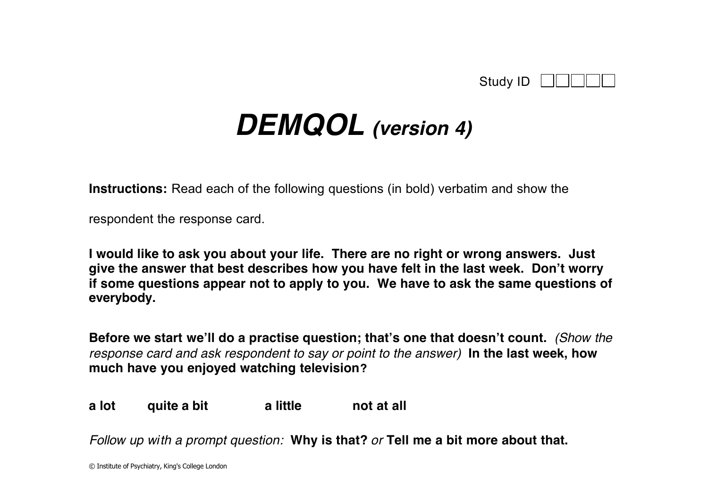| Study ID |  |
|----------|--|
|----------|--|

## *DEMQOL (version 4)*

**Instructions:** Read each of the following questions (in bold) verbatim and show the

respondent the response card.

**I would like to ask you about your life. There are no right or wrong answers. Just give the answer that best describes how you have felt in the last week. Don't worry if some questions appear not to apply to you. We have to ask the same questions of everybody.**

**Before we start we'll do a practise question; that's one that doesn't count.** *(Show the response card and ask respondent to say or point to the answer)* **In the last week, how much have you enjoyed watching television?**

**a lot quite a bit a little not at all**

*Follow up with a prompt question:* **Why is that?** *or* **Tell me a bit more about that.**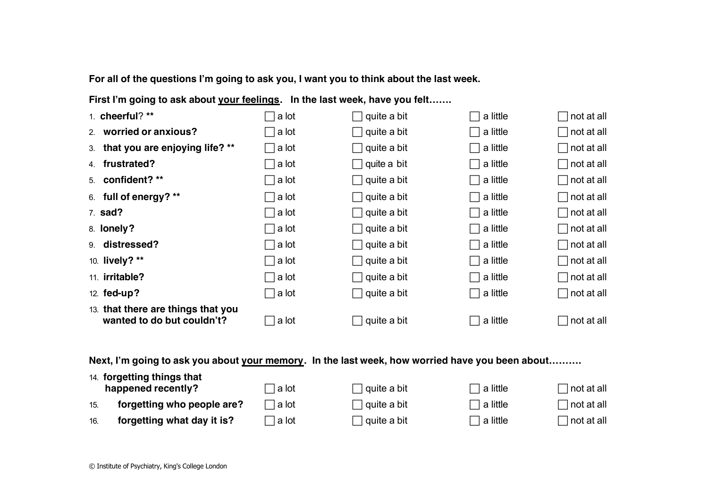**For all of the questions I'm going to ask you, I want you to think about the last week.** 

First I'm going to ask about **your feelings.** In the last week, have you felt.......

| 1. cheerful? **                                                  | a lot          | quite a bit        | a little                             | $\Box$ not at all |
|------------------------------------------------------------------|----------------|--------------------|--------------------------------------|-------------------|
| worried or anxious?<br>2.                                        | a lot          | $\Box$ quite a bit | a little<br>$\mathbf{I}$             | $\Box$ not at all |
| 3. that you are enjoying life? **                                | □ a lot        | $\Box$ quite a bit | a little<br>$\mathsf{L}$             | $\Box$ not at all |
| frustrated?<br>4.                                                | ∏a lot         | $\Box$ quite a bit | a little<br>$\overline{\phantom{0}}$ | $\Box$ not at all |
| 5. confident? **                                                 | a lot          | $\Box$ quite a bit | a little<br>$\mathbf{I}$             | $\Box$ not at all |
| 6. full of energy? **                                            | a lot          | $\Box$ quite a bit | a little<br>$\mathbf{I}$             | $\Box$ not at all |
| 7. sad?                                                          | ∣a lot         | $\Box$ quite a bit | a little<br>$\Box$                   | $\Box$ not at all |
| 8. lonely?                                                       | ∣a lot         | $\Box$ quite a bit | a little                             | $\Box$ not at all |
| 9. distressed?                                                   | □ a lot        | $\Box$ quite a bit | a little<br>$\mathbf{I}$             | $\Box$ not at all |
| 10. lively? **                                                   | □ a lot        | $\Box$ quite a bit | a little<br>$\mathbf{I}$             | $\Box$ not at all |
| 11. <b>irritable?</b>                                            | a lot          | $\Box$ quite a bit | a little<br>$\Box$                   | $\Box$ not at all |
| 12. fed-up?                                                      | $\sqcap$ a lot | $\Box$ quite a bit | a little<br>$\overline{\phantom{0}}$ | $\Box$ not at all |
| 13. that there are things that you<br>wanted to do but couldn't? | a lot          | quite a bit        | a little                             | $\Box$ not at all |

**Next, I'm going to ask you about your memory. In the last week, how worried have you been about……….**

|     | 14. forgetting things that<br>happened recently? | ∃a lot   | ∣ quite a bit | $\sqsupset$ a little | ] not at all |
|-----|--------------------------------------------------|----------|---------------|----------------------|--------------|
| 15. | forgetting who people are?                       | ่ la lot | ∣ quite a bit | $\sqsupset$ a little | ] not at all |
| 16. | forgetting what day it is?                       | ่ la lot | s quite a bit | $\lnot$ a little     | ] not at all |